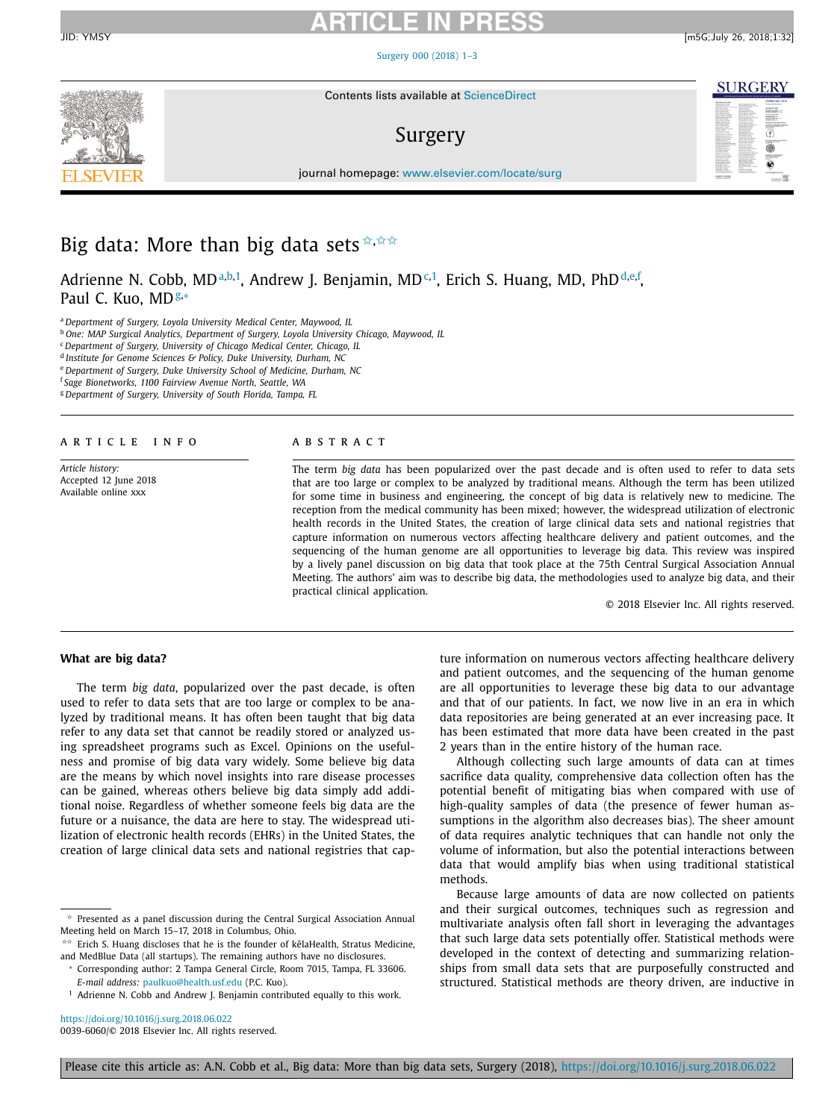# **ARTICLE IN PRESS**

[Surgery](https://doi.org/10.1016/j.surg.2018.06.022) 000 (2018) 1–3



Contents lists available at [ScienceDirect](http://www.ScienceDirect.com)

# Surgery



**SURGERY** 

journal homepage: [www.elsevier.com/locate/surg](http://www.elsevier.com/locate/surg)

# Big data: More than big data sets  $\frac{\dot{x}}{\dot{x}}$

Adrienne N. Cobb, MD<sup>a,b,1</sup>, Andrew J. Benjamin, MD<sup>c,1</sup>, Erich S. Huang, MD, PhD<sup>d,e,f</sup>, Paul C. Kuo, MD $g_{*}$ 

<sup>a</sup> *Department of Surgery, Loyola University Medical Center, Maywood, IL*

<sup>b</sup> *One: MAP Surgical Analytics, Department of Surgery, Loyola University Chicago, Maywood, IL*

<sup>c</sup> *Department of Surgery, University of Chicago Medical Center, Chicago, IL*

<sup>d</sup> *Institute for Genome Sciences & Policy, Duke University, Durham, NC*

<sup>e</sup> *Department of Surgery, Duke University School of Medicine, Durham, NC*

<sup>f</sup> *Sage Bionetworks, 1100 Fairview Avenue North, Seattle, WA*

<sup>g</sup> *Department of Surgery, University of South Florida, Tampa, FL*

### ARTICLE INFO

*Article history:* Accepted 12 June 2018 Available online xxx

### A B S T R A C T

The term *big data* has been popularized over the past decade and is often used to refer to data sets that are too large or complex to be analyzed by traditional means. Although the term has been utilized for some time in business and engineering, the concept of big data is relatively new to medicine. The reception from the medical community has been mixed; however, the widespread utilization of electronic health records in the United States, the creation of large clinical data sets and national registries that capture information on numerous vectors affecting healthcare delivery and patient outcomes, and the sequencing of the human genome are all opportunities to leverage big data. This review was inspired by a lively panel discussion on big data that took place at the 75th Central Surgical Association Annual Meeting. The authors' aim was to describe big data, the methodologies used to analyze big data, and their practical clinical application.

© 2018 Elsevier Inc. All rights reserved.

# **What are big data?**

The term *big data*, popularized over the past decade, is often used to refer to data sets that are too large or complex to be analyzed by traditional means. It has often been taught that big data refer to any data set that cannot be readily stored or analyzed using spreadsheet programs such as Excel. Opinions on the usefulness and promise of big data vary widely. Some believe big data are the means by which novel insights into rare disease processes can be gained, whereas others believe big data simply add additional noise. Regardless of whether someone feels big data are the future or a nuisance, the data are here to stay. The widespread utilization of electronic health records (EHRs) in the United States, the creation of large clinical data sets and national registries that cap-

<https://doi.org/10.1016/j.surg.2018.06.022> 0039-6060/© 2018 Elsevier Inc. All rights reserved. ture information on numerous vectors affecting healthcare delivery and patient outcomes, and the sequencing of the human genome are all opportunities to leverage these big data to our advantage and that of our patients. In fact, we now live in an era in which data repositories are being generated at an ever increasing pace. It has been estimated that more data have been created in the past 2 years than in the entire history of the human race.

Although collecting such large amounts of data can at times sacrifice data quality, comprehensive data collection often has the potential benefit of mitigating bias when compared with use of high-quality samples of data (the presence of fewer human assumptions in the algorithm also decreases bias). The sheer amount of data requires analytic techniques that can handle not only the volume of information, but also the potential interactions between data that would amplify bias when using traditional statistical methods.

Because large amounts of data are now collected on patients and their surgical outcomes, techniques such as regression and multivariate analysis often fall short in leveraging the advantages that such large data sets potentially offer. Statistical methods were developed in the context of detecting and summarizing relationships from small data sets that are purposefully constructed and structured. Statistical methods are theory driven, are inductive in

Presented as a panel discussion during the Central Surgical Association Annual Meeting held on March 15–17, 2018 in Columbus, Ohio.

Erich S. Huang discloses that he is the founder of kelaHealth, Stratus Medicine, and MedBlue Data (all startups). The remaining authors have no disclosures.

Corresponding author: 2 Tampa General Circle, Room 7015, Tampa, FL 33606. *E-mail address:* [paulkuo@health.usf.edu](mailto:paulkuo@health.usf.edu) (P.C. Kuo).

<sup>&</sup>lt;sup>1</sup> Adrienne N. Cobb and Andrew J. Benjamin contributed equally to this work.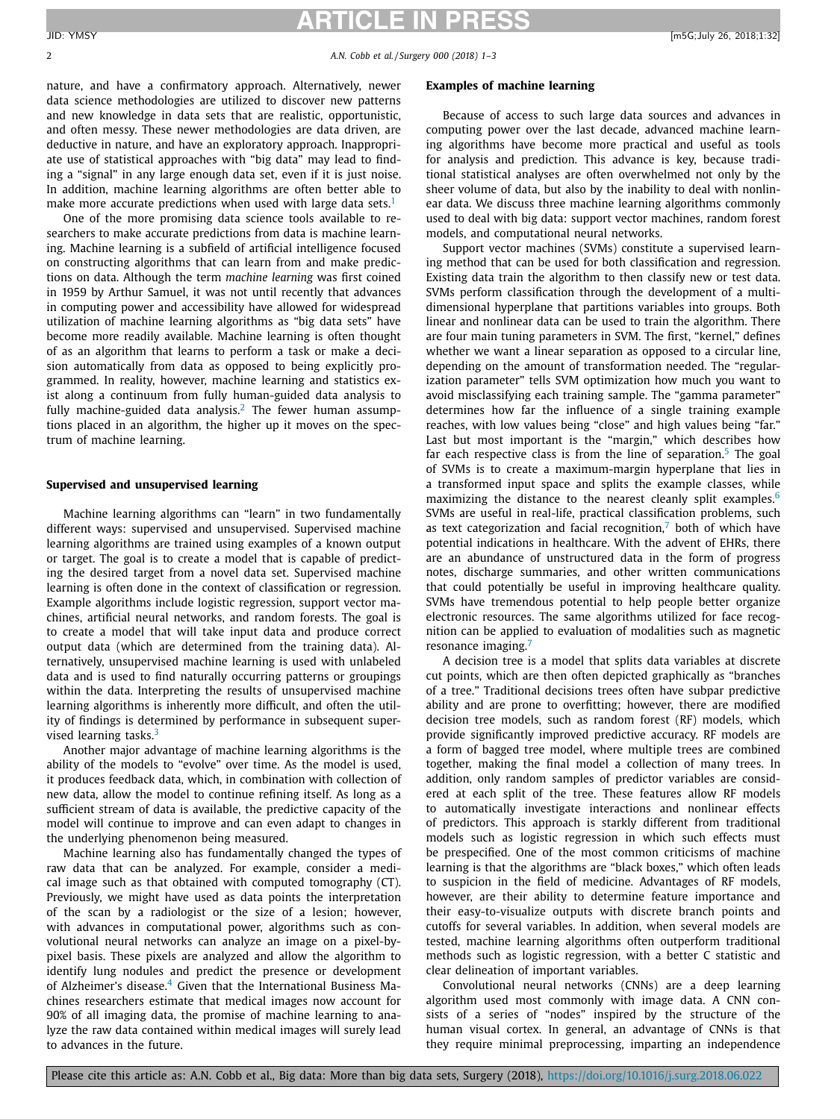# **ARTICLE IN PRESS** JID: YMSY [m5G;July 26, 2018;1:32]

2 *A.N. Cobb et al. / Surgery 000 (2018) 1–3*

nature, and have a confirmatory approach. Alternatively, newer data science methodologies are utilized to discover new patterns and new knowledge in data sets that are realistic, opportunistic, and often messy. These newer methodologies are data driven, are deductive in nature, and have an exploratory approach. Inappropriate use of statistical approaches with "big data" may lead to finding a "signal" in any large enough data set, even if it is just noise. In addition, machine learning algorithms are often better able to make more accurate predictions when used with large data sets.<sup>[1](#page-2-0)</sup>

One of the more promising data science tools available to researchers to make accurate predictions from data is machine learning. Machine learning is a subfield of artificial intelligence focused on constructing algorithms that can learn from and make predictions on data. Although the term *machine learning* was first coined in 1959 by Arthur Samuel, it was not until recently that advances in computing power and accessibility have allowed for widespread utilization of machine learning algorithms as "big data sets" have become more readily available. Machine learning is often thought of as an algorithm that learns to perform a task or make a decision automatically from data as opposed to being explicitly programmed. In reality, however, machine learning and statistics exist along a continuum from fully human-guided data analysis to fully machine-guided data analysis.<sup>[2](#page-2-0)</sup> The fewer human assumptions placed in an algorithm, the higher up it moves on the spectrum of machine learning.

### **Supervised and unsupervised learning**

Machine learning algorithms can "learn" in two fundamentally different ways: supervised and unsupervised. Supervised machine learning algorithms are trained using examples of a known output or target. The goal is to create a model that is capable of predicting the desired target from a novel data set. Supervised machine learning is often done in the context of classification or regression. Example algorithms include logistic regression, support vector machines, artificial neural networks, and random forests. The goal is to create a model that will take input data and produce correct output data (which are determined from the training data). Alternatively, unsupervised machine learning is used with unlabeled data and is used to find naturally occurring patterns or groupings within the data. Interpreting the results of unsupervised machine learning algorithms is inherently more difficult, and often the utility of findings is determined by performance in subsequent super-vised learning tasks.<sup>[3](#page-2-0)</sup>

Another major advantage of machine learning algorithms is the ability of the models to "evolve" over time. As the model is used, it produces feedback data, which, in combination with collection of new data, allow the model to continue refining itself. As long as a sufficient stream of data is available, the predictive capacity of the model will continue to improve and can even adapt to changes in the underlying phenomenon being measured.

Machine learning also has fundamentally changed the types of raw data that can be analyzed. For example, consider a medical image such as that obtained with computed tomography (CT). Previously, we might have used as data points the interpretation of the scan by a radiologist or the size of a lesion; however, with advances in computational power, algorithms such as convolutional neural networks can analyze an image on a pixel-bypixel basis. These pixels are analyzed and allow the algorithm to identify lung nodules and predict the presence or development of Alzheimer's disease. $4$  Given that the International Business Machines researchers estimate that medical images now account for 90% of all imaging data, the promise of machine learning to analyze the raw data contained within medical images will surely lead to advances in the future.

# **Examples of machine learning**

Because of access to such large data sources and advances in computing power over the last decade, advanced machine learning algorithms have become more practical and useful as tools for analysis and prediction. This advance is key, because traditional statistical analyses are often overwhelmed not only by the sheer volume of data, but also by the inability to deal with nonlinear data. We discuss three machine learning algorithms commonly used to deal with big data: support vector machines, random forest models, and computational neural networks.

Support vector machines (SVMs) constitute a supervised learning method that can be used for both classification and regression. Existing data train the algorithm to then classify new or test data. SVMs perform classification through the development of a multidimensional hyperplane that partitions variables into groups. Both linear and nonlinear data can be used to train the algorithm. There are four main tuning parameters in SVM. The first, "kernel," defines whether we want a linear separation as opposed to a circular line, depending on the amount of transformation needed. The "regularization parameter" tells SVM optimization how much you want to avoid misclassifying each training sample. The "gamma parameter" determines how far the influence of a single training example reaches, with low values being "close" and high values being "far." Last but most important is the "margin," which describes how far each respective class is from the line of separation.<sup>[5](#page-2-0)</sup> The goal of SVMs is to create a maximum-margin hyperplane that lies in a transformed input space and splits the example classes, while maximizing the distance to the nearest cleanly split examples.<sup>[6](#page-2-0)</sup> SVMs are useful in real-life, practical classification problems, such as text categorization and facial recognition, $\frac{7}{1}$  $\frac{7}{1}$  $\frac{7}{1}$  both of which have potential indications in healthcare. With the advent of EHRs, there are an abundance of unstructured data in the form of progress notes, discharge summaries, and other written communications that could potentially be useful in improving healthcare quality. SVMs have tremendous potential to help people better organize electronic resources. The same algorithms utilized for face recognition can be applied to evaluation of modalities such as magnetic resonance imaging.<sup>[7](#page-2-0)</sup>

A decision tree is a model that splits data variables at discrete cut points, which are then often depicted graphically as "branches of a tree." Traditional decisions trees often have subpar predictive ability and are prone to overfitting; however, there are modified decision tree models, such as random forest (RF) models, which provide significantly improved predictive accuracy. RF models are a form of bagged tree model, where multiple trees are combined together, making the final model a collection of many trees. In addition, only random samples of predictor variables are considered at each split of the tree. These features allow RF models to automatically investigate interactions and nonlinear effects of predictors. This approach is starkly different from traditional models such as logistic regression in which such effects must be prespecified. One of the most common criticisms of machine learning is that the algorithms are "black boxes," which often leads to suspicion in the field of medicine. Advantages of RF models, however, are their ability to determine feature importance and their easy-to-visualize outputs with discrete branch points and cutoffs for several variables. In addition, when several models are tested, machine learning algorithms often outperform traditional methods such as logistic regression, with a better C statistic and clear delineation of important variables.

Convolutional neural networks (CNNs) are a deep learning algorithm used most commonly with image data. A CNN consists of a series of "nodes" inspired by the structure of the human visual cortex. In general, an advantage of CNNs is that they require minimal preprocessing, imparting an independence